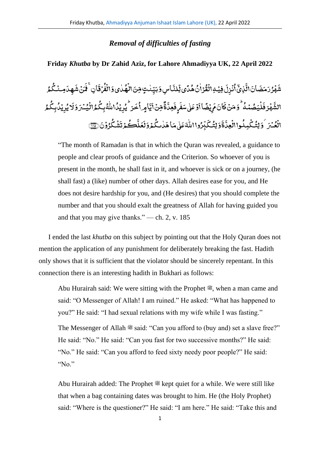## *Removal of difficulties of fasting*

## **Friday** *Khutba* **by Dr Zahid Aziz, for Lahore Ahmadiyya UK, 22 April 2022**

ِ<br>اس6ت ِ<br>لنَّہ ب<br>س یڈِ .<br>ء دگ ُ و<br>قُرۡاٰنَٰ هُ ٰ فِیۡهِالۡقُ **أ أ** ે<br>ક نُزِلَ **ٔ** ُ ا ِ<br>ٽُذِي ال َ ان َ ض َ م َ ر ُ ر ہ **أ** َ .<br>شَهْدُ رَمَضَانَ\تَّلاهَجِ أُنۡزِلَ فِيۡهِِ\لَٰقُوۡمَٰٓانُ هُدَّى تِّلنَّبَاسِ وَبَيِّنٰتِ مِّنَ\لَٰهُماٰي وَ ٰ ُ ۣ<br>ؾٺتِ مِّنَ\لُهُ .<br>, ٰ بَيِّنٰتٍ مِّنَ\لُهُلٰى وَالْفُرْقَانِ ۚ فَمَنۡ شَهِدَامِـنُكُمُ ُ مِـنْكُ .<br>م ِ<br>ـ چَلَا َ ر<br>نَدَنْ مَثَن ِ<br>ـ اِنۚف َ رة<br>ماف <u>់</u> ُ ف ال **ّ** ِ<br>وَ ُ ِ<br>لَيَصُمُهُ <u>ّ</u> <u>َ</u> َ و<br>پور فر <u>َ</u> ្ الشَّهْرَ فَلۡيَصُمۡمُهُ ۚ وَمَنۡ كَانَ مَ يُضًا أَوۡ عَلٰى سَفَىٰ فَعِدَّةٌ مِّنۡ أَيَّامِ أُخَرَ ۚ ثُو بِّدُا اللَّهُ بِكُمُ الۡيُسۡرَ وَ **ّ** .<br>, ُ ِک ب ُ ہ ٰ ŗ الل ُ ر<br>نَحرَ یُرِیۡلُ .<br>, خ </del> اٍما ء<br>ڊ ِّ ءِ<br>ڏهڻ\َ ۃ ্য چلٌ َ ف ٍ ر ِ<br>ـ ۇعَلى پ**ىَغَ** ٰ ل <u>َ</u> ِّ اا ً ڔؽؚۻٞ **ٔ** َ م َ ان ِ<br>ـ مَنۡ كَانَ مَ يُضًا أَوۡ عَلٰہٖ سَفَرۡ فَعِدَّةٌ مِّيۡنَ أَيَّامِهِ أُخَيۡ كُيۡ بِيۡدُاللّٰهُ بِكُمُواانۡيُسۡمَ وَلَا بُرِ بِيۡدُابِكُمُ ُ ِک ب ُ د ی ِ ر ُ ای .<br>, َ ل الْعُيْبَرَ ۚ وَ لِتُكُمِلُوا الْعِدَّةَوَ لِتُكَبِّرُوا اللَّهَ عَلَىٰ مَا هَدٰنكُمْ وَ **أ** .<br>, نگ ٰ ِ<br>ـ ِ<br>تمكىٰ ماھَ ٰ ل ٰ ľ واالل ُ ِر .<br>س ب َ ک ُ لِت َ و َ ۃ ្ត ِعد واال **أ** ُ وَلِتُّكۡمِلُواالۡعِدَّةَوَلِتُّكَبِّرُوااللَّهَ عَلٰى مَاهَلٰا تُكۡمَ وَلَعَلَّكُمۡ .<br>, ک ِ<br>نگا ِ<br>عَل ِ<br>ـ لَعَلَّكُمۡ تَشۡكُوۡوۡنَ ﴾ .<br>, ُ ک ش .<br>ء َ تَشْكُرُوْنَ۞

"The month of Ramadan is that in which the Quran was revealed, a guidance to people and clear proofs of guidance and the Criterion. So whoever of you is present in the month, he shall fast in it, and whoever is sick or on a journey, (he shall fast) a (like) number of other days. Allah desires ease for you, and He does not desire hardship for you, and (He desires) that you should complete the number and that you should exalt the greatness of Allah for having guided you and that you may give thanks." — ch. 2, v. 185

I ended the last *khutba* on this subject by pointing out that the Holy Quran does not mention the application of any punishment for deliberately breaking the fast. Hadith only shows that it is sufficient that the violator should be sincerely repentant. In this connection there is an interesting hadith in Bukhari as follows:

Abu Hurairah said: We were sitting with the Prophet  $\ddot{\mathcal{F}}$ , when a man came and said: "O Messenger of Allah! I am ruined." He asked: "What has happened to you?" He said: "I had sexual relations with my wife while I was fasting." The Messenger of Allah  $\stackrel{\text{def}}{=}$  said: "Can you afford to (buy and) set a slave free?" He said: "No." He said: "Can you fast for two successive months?" He said: "No." He said: "Can you afford to feed sixty needy poor people?" He said: "No."

Abu Hurairah added: The Prophet  $\mathcal{L}$  kept quiet for a while. We were still like that when a bag containing dates was brought to him. He (the Holy Prophet) said: "Where is the questioner?" He said: "I am here." He said: "Take this and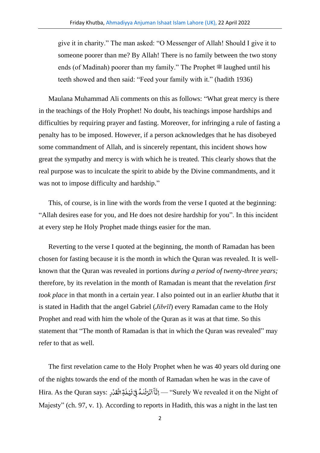give it in charity." The man asked: "O Messenger of Allah! Should I give it to someone poorer than me? By Allah! There is no family between the two stony ends (of Madinah) poorer than my family." The Prophet  $\mathscr{F}$  laughed until his teeth showed and then said: "Feed your family with it." (hadith 1936)

Maulana Muhammad Ali comments on this as follows: "What great mercy is there in the teachings of the Holy Prophet! No doubt, his teachings impose hardships and difficulties by requiring prayer and fasting. Moreover, for infringing a rule of fasting a penalty has to be imposed. However, if a person acknowledges that he has disobeyed some commandment of Allah, and is sincerely repentant, this incident shows how great the sympathy and mercy is with which he is treated. This clearly shows that the real purpose was to inculcate the spirit to abide by the Divine commandments, and it was not to impose difficulty and hardship."

This, of course, is in line with the words from the verse I quoted at the beginning: "Allah desires ease for you, and He does not desire hardship for you". In this incident at every step he Holy Prophet made things easier for the man.

Reverting to the verse I quoted at the beginning, the month of Ramadan has been chosen for fasting because it is the month in which the Quran was revealed. It is wellknown that the Quran was revealed in portions *during a period of twenty-three years;* therefore, by its revelation in the month of Ramadan is meant that the revelation *first took place* in that month in a certain year. I also pointed out in an earlier *khutba* that it is stated in Hadith that the angel Gabriel (*Jibrīl*) every Ramadan came to the Holy Prophet and read with him the whole of the Quran as it was at that time. So this statement that "The month of Ramadan is that in which the Quran was revealed" may refer to that as well.

The first revelation came to the Holy Prophet when he was 40 years old during one of the nights towards the end of the month of Ramadan when he was in the cave of .<br>قبائقڈر :Hira. As the Quran says .<br>, ់<br>ទ َ ل ی .<br>, َ ِ<br>اَنۡزَلۡنٰٰمُ فِیۡ لَا <u>់</u> ف ٰ <u>់</u> .<br>,  $\overline{a}$ آ انَّة — "Surely We revealed it on the Night of Majesty" (ch. 97, v. 1). According to reports in Hadith, this was a night in the last ten

2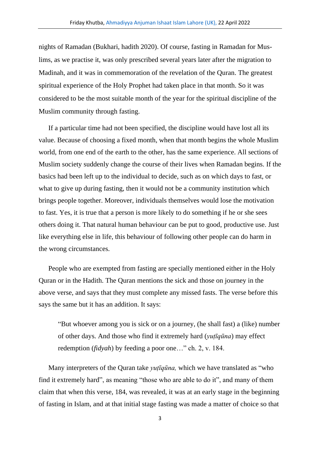nights of Ramadan (Bukhari, hadith 2020). Of course, fasting in Ramadan for Muslims, as we practise it, was only prescribed several years later after the migration to Madinah, and it was in commemoration of the revelation of the Quran. The greatest spiritual experience of the Holy Prophet had taken place in that month. So it was considered to be the most suitable month of the year for the spiritual discipline of the Muslim community through fasting.

If a particular time had not been specified, the discipline would have lost all its value. Because of choosing a fixed month, when that month begins the whole Muslim world, from one end of the earth to the other, has the same experience. All sections of Muslim society suddenly change the course of their lives when Ramadan begins. If the basics had been left up to the individual to decide, such as on which days to fast, or what to give up during fasting, then it would not be a community institution which brings people together. Moreover, individuals themselves would lose the motivation to fast. Yes, it is true that a person is more likely to do something if he or she sees others doing it. That natural human behaviour can be put to good, productive use. Just like everything else in life, this behaviour of following other people can do harm in the wrong circumstances.

People who are exempted from fasting are specially mentioned either in the Holy Quran or in the Hadith. The Quran mentions the sick and those on journey in the above verse, and says that they must complete any missed fasts. The verse before this says the same but it has an addition. It says:

"But whoever among you is sick or on a journey, (he shall fast) a (like) number of other days. And those who find it extremely hard (*yuṭīqūna*) may effect redemption (*fidyah*) by feeding a poor one…" ch. 2, v. 184.

Many interpreters of the Quran take *yuṭīqūna,* which we have translated as "who find it extremely hard", as meaning "those who are able to do it", and many of them claim that when this verse, 184, was revealed, it was at an early stage in the beginning of fasting in Islam, and at that initial stage fasting was made a matter of choice so that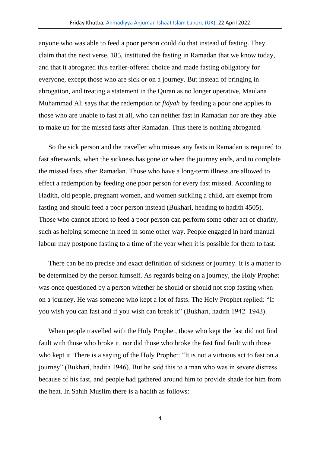anyone who was able to feed a poor person could do that instead of fasting. They claim that the next verse, 185, instituted the fasting in Ramadan that we know today, and that it abrogated this earlier-offered choice and made fasting obligatory for everyone, except those who are sick or on a journey. But instead of bringing in abrogation, and treating a statement in the Quran as no longer operative, Maulana Muhammad Ali says that the redemption or *fidyah* by feeding a poor one applies to those who are unable to fast at all, who can neither fast in Ramadan nor are they able to make up for the missed fasts after Ramadan. Thus there is nothing abrogated.

So the sick person and the traveller who misses any fasts in Ramadan is required to fast afterwards, when the sickness has gone or when the journey ends, and to complete the missed fasts after Ramadan. Those who have a long-term illness are allowed to effect a redemption by feeding one poor person for every fast missed. According to Hadith, old people, pregnant women, and women suckling a child, are exempt from fasting and should feed a poor person instead (Bukhari, heading to hadith 4505). Those who cannot afford to feed a poor person can perform some other act of charity, such as helping someone in need in some other way. People engaged in hard manual labour may postpone fasting to a time of the year when it is possible for them to fast.

There can be no precise and exact definition of sickness or journey. It is a matter to be determined by the person himself. As regards being on a journey, the Holy Prophet was once questioned by a person whether he should or should not stop fasting when on a journey. He was someone who kept a lot of fasts. The Holy Prophet replied: "If you wish you can fast and if you wish can break it" (Bukhari, hadith 1942–1943).

When people travelled with the Holy Prophet, those who kept the fast did not find fault with those who broke it, nor did those who broke the fast find fault with those who kept it. There is a saying of the Holy Prophet: "It is not a virtuous act to fast on a journey" (Bukhari, hadith 1946). But he said this to a man who was in severe distress because of his fast, and people had gathered around him to provide shade for him from the heat. In Sahih Muslim there is a hadith as follows:

4